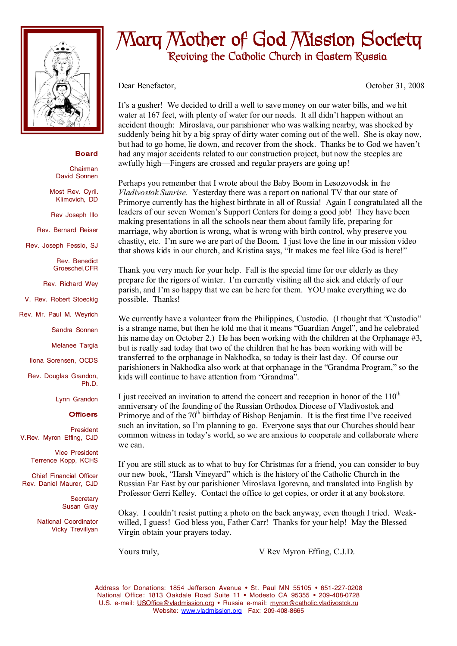

## **Board**

Chairman David Sonnen

Most Rev. Cyril. Klimovich, DD

Rev Joseph Illo

Rev. Bernard Reiser

Rev. Joseph Fessio, SJ

Rev. Benedict Groeschel,CFR

Rev. Richard Wey

V. Rev. Robert Stoeckig

Rev. Mr. Paul M. Weyrich

Sandra Sonnen

Melanee Targia

Ilona Sorensen, OCDS

Rev. Douglas Grandon,

Lynn Grandon

## **Officers**

Ph.D.

President V.Rev. Myron Effing, CJD

> Vice President Terrence Kopp, KCHS

Chief Financial Officer Rev. Daniel Maurer, CJD

> **Secretary** Susan Gray

National Coordinator Vicky Trevillyan

## **Mary Mother of God Mission Society Reviving the Catholic Church in Eastern Russia**

Dear Benefactor, October 31, 2008

It's a gusher! We decided to drill a well to save money on our water bills, and we hit water at 167 feet, with plenty of water for our needs. It all didn't happen without an accident though: Miroslava, our parishioner who was walking nearby, was shocked by suddenly being hit by a big spray of dirty water coming out of the well. She is okay now, but had to go home, lie down, and recover from the shock. Thanks be to God we haven't had any major accidents related to our construction project, but now the steeples are awfully high—Fingers are crossed and regular prayers are going up!

Perhaps you remember that I wrote about the Baby Boom in Lesozovodsk in the *Vladivostok Sunrise*. Yesterday there was a report on national TV that our state of Primorye currently has the highest birthrate in all of Russia! Again I congratulated all the leaders of our seven Women's Support Centers for doing a good job! They have been making presentations in all the schools near them about family life, preparing for marriage, why abortion is wrong, what is wrong with birth control, why preserve you chastity, etc. I'm sure we are part of the Boom. I just love the line in our mission video that shows kids in our church, and Kristina says, "It makes me feel like God is here!"

Thank you very much for your help. Fall is the special time for our elderly as they prepare for the rigors of winter. I'm currently visiting all the sick and elderly of our parish, and I'm so happy that we can be here for them. YOU make everything we do possible. Thanks!

We currently have a volunteer from the Philippines, Custodio. (I thought that "Custodio" is a strange name, but then he told me that it means "Guardian Angel", and he celebrated his name day on October 2.) He has been working with the children at the Orphanage #3, but is really sad today that two of the children that he has been working with will be transferred to the orphanage in Nakhodka, so today is their last day. Of course our parishioners in Nakhodka also work at that orphanage in the "Grandma Program," so the kids will continue to have attention from "Grandma".

I just received an invitation to attend the concert and reception in honor of the  $110<sup>th</sup>$ anniversary of the founding of the Russian Orthodox Diocese of Vladivostok and Primorye and of the 70<sup>th</sup> birthday of Bishop Benjamin. It is the first time I've received such an invitation, so I'm planning to go. Everyone says that our Churches should bear common witness in today's world, so we are anxious to cooperate and collaborate where we can.

If you are still stuck as to what to buy for Christmas for a friend, you can consider to buy our new book, "Harsh Vineyard" which is the history of the Catholic Church in the Russian Far East by our parishioner Miroslava Igorevna, and translated into English by Professor Gerri Kelley. Contact the office to get copies, or order it at any bookstore.

Okay. I couldn't resist putting a photo on the back anyway, even though I tried. Weakwilled, I guess! God bless you, Father Carr! Thanks for your help! May the Blessed Virgin obtain your prayers today.

Yours truly,  $V$  Rev Myron Effing, C.J.D.